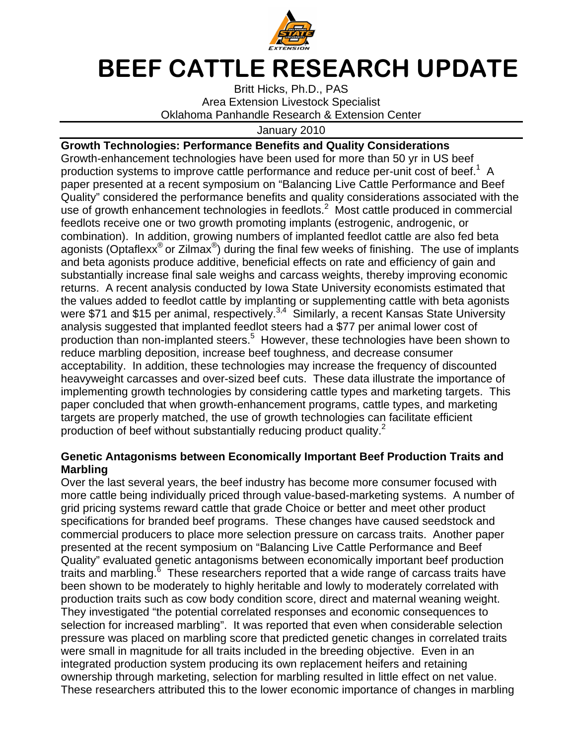

## BEEF CATTLE RESEARCH UPDATE

Britt Hicks, Ph.D., PAS Area Extension Livestock Specialist Oklahoma Panhandle Research & Extension Center

January 2010

## **Growth Technologies: Performance Benefits and Quality Considerations**

Growth-enhancement technologies have been used for more than 50 yr in US beef production systems to improve cattle performance and reduce per-unit cost of beef.<sup>1</sup> A paper presented at a recent symposium on "Balancing Live Cattle Performance and Beef Quality" considered the performance benefits and quality considerations associated with the use of growth enhancement technologies in feedlots. $2$  Most cattle produced in commercial feedlots receive one or two growth promoting implants (estrogenic, androgenic, or combination). In addition, growing numbers of implanted feedlot cattle are also fed beta agonists (Optaflexx<sup>®</sup> or Zilmax<sup>®</sup>) during the final few weeks of finishing. The use of implants and beta agonists produce additive, beneficial effects on rate and efficiency of gain and substantially increase final sale weighs and carcass weights, thereby improving economic returns. A recent analysis conducted by Iowa State University economists estimated that the values added to feedlot cattle by implanting or supplementing cattle with beta agonists were \$71 and \$15 per animal, respectively.<sup>3,4</sup> Similarly, a recent Kansas State University analysis suggested that implanted feedlot steers had a \$77 per animal lower cost of production than non-implanted steers.<sup>5</sup> However, these technologies have been shown to reduce marbling deposition, increase beef toughness, and decrease consumer acceptability. In addition, these technologies may increase the frequency of discounted heavyweight carcasses and over-sized beef cuts. These data illustrate the importance of implementing growth technologies by considering cattle types and marketing targets. This paper concluded that when growth-enhancement programs, cattle types, and marketing targets are properly matched, the use of growth technologies can facilitate efficient production of beef without substantially reducing product quality.<sup>2</sup>

## **Genetic Antagonisms between Economically Important Beef Production Traits and Marbling**

Over the last several years, the beef industry has become more consumer focused with more cattle being individually priced through value-based-marketing systems. A number of grid pricing systems reward cattle that grade Choice or better and meet other product specifications for branded beef programs. These changes have caused seedstock and commercial producers to place more selection pressure on carcass traits. Another paper presented at the recent symposium on "Balancing Live Cattle Performance and Beef Quality" evaluated genetic antagonisms between economically important beef production traits and marbling.<sup>6</sup> These researchers reported that a wide range of carcass traits have been shown to be moderately to highly heritable and lowly to moderately correlated with production traits such as cow body condition score, direct and maternal weaning weight. They investigated "the potential correlated responses and economic consequences to selection for increased marbling". It was reported that even when considerable selection pressure was placed on marbling score that predicted genetic changes in correlated traits were small in magnitude for all traits included in the breeding objective. Even in an integrated production system producing its own replacement heifers and retaining ownership through marketing, selection for marbling resulted in little effect on net value. These researchers attributed this to the lower economic importance of changes in marbling